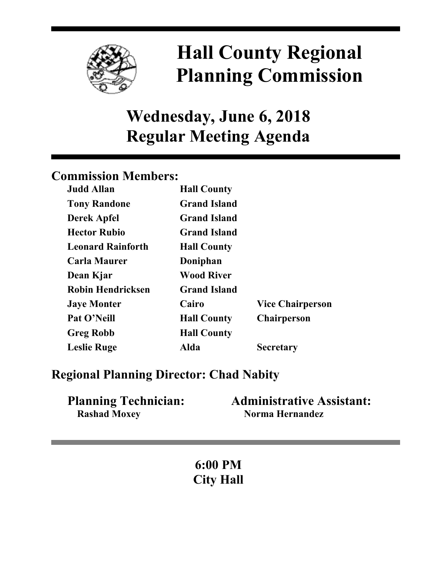

# **Hall County Regional Planning Commission**

## **Wednesday, June 6, 2018 Regular Meeting Agenda**

## **Commission Members:**

| <b>Judd Allan</b>        | <b>Hall County</b>  |                         |
|--------------------------|---------------------|-------------------------|
| <b>Tony Randone</b>      | <b>Grand Island</b> |                         |
| <b>Derek Apfel</b>       | <b>Grand Island</b> |                         |
| <b>Hector Rubio</b>      | <b>Grand Island</b> |                         |
| <b>Leonard Rainforth</b> | <b>Hall County</b>  |                         |
| <b>Carla Maurer</b>      | Doniphan            |                         |
| Dean Kjar                | <b>Wood River</b>   |                         |
| <b>Robin Hendricksen</b> | <b>Grand Island</b> |                         |
| <b>Jaye Monter</b>       | Cairo               | <b>Vice Chairperson</b> |
| Pat O'Neill              | <b>Hall County</b>  | <b>Chairperson</b>      |
| <b>Greg Robb</b>         | <b>Hall County</b>  |                         |
| <b>Leslie Ruge</b>       | Alda                | <b>Secretary</b>        |

## **Regional Planning Director: Chad Nabity**

| <b>Planning Technician:</b> | <b>Administrative Assistant:</b> |
|-----------------------------|----------------------------------|
| <b>Rashad Moxey</b>         | Norma Hernandez                  |

**6:00 PM City Hall**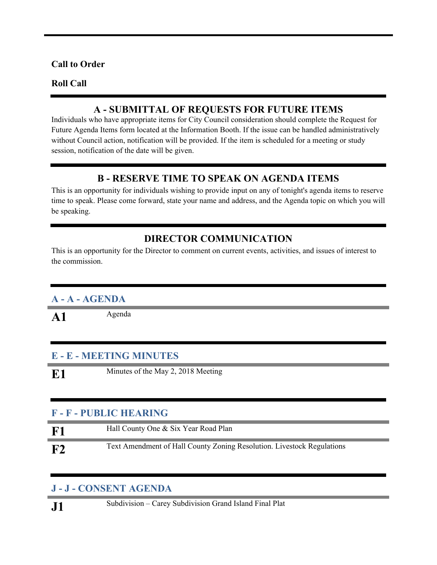#### **Call to Order**

#### **Roll Call**

#### **A - SUBMITTAL OF REQUESTS FOR FUTURE ITEMS**

Individuals who have appropriate items for City Council consideration should complete the Request for Future Agenda Items form located at the Information Booth. If the issue can be handled administratively without Council action, notification will be provided. If the item is scheduled for a meeting or study session, notification of the date will be given.

#### **B - RESERVE TIME TO SPEAK ON AGENDA ITEMS**

This is an opportunity for individuals wishing to provide input on any of tonight's agenda items to reserve time to speak. Please come forward, state your name and address, and the Agenda topic on which you will be speaking.

#### **DIRECTOR COMMUNICATION**

This is an opportunity for the Director to comment on current events, activities, and issues of interest to the commission.

#### **A - A - AGENDA**

A1 Agenda

#### **E - E - MEETING MINUTES**

**E1** Minutes of the May 2, 2018 Meeting

#### **F - F - PUBLIC HEARING**

| F1 | Hall County One & Six Year Road Plan                                   |
|----|------------------------------------------------------------------------|
| F2 | Text Amendment of Hall County Zoning Resolution. Livestock Regulations |

#### **J - J - CONSENT AGENDA**

**J1** Subdivision – Carey Subdivision Grand Island Final Plat